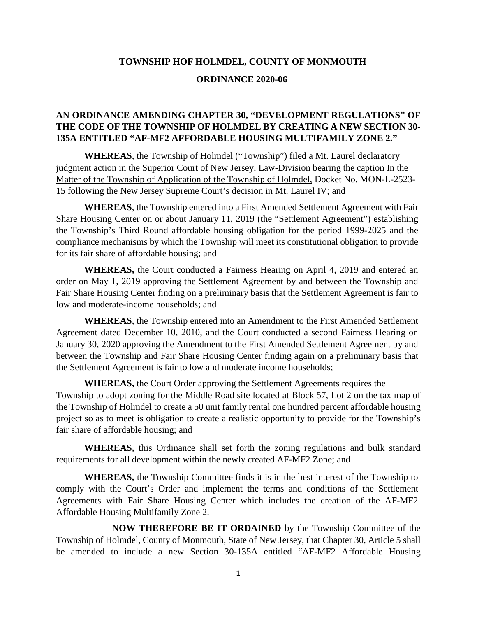#### **TOWNSHIP HOF HOLMDEL, COUNTY OF MONMOUTH**

#### **ORDINANCE 2020-06**

# **AN ORDINANCE AMENDING CHAPTER 30, "DEVELOPMENT REGULATIONS" OF THE CODE OF THE TOWNSHIP OF HOLMDEL BY CREATING A NEW SECTION 30- 135A ENTITLED "AF-MF2 AFFORDABLE HOUSING MULTIFAMILY ZONE 2."**

**WHEREAS**, the Township of Holmdel ("Township") filed a Mt. Laurel declaratory judgment action in the Superior Court of New Jersey, Law-Division bearing the caption In the Matter of the Township of Application of the Township of Holmdel, Docket No. MON-L-2523- 15 following the New Jersey Supreme Court's decision in Mt. Laurel IV; and

**WHEREAS**, the Township entered into a First Amended Settlement Agreement with Fair Share Housing Center on or about January 11, 2019 (the "Settlement Agreement") establishing the Township's Third Round affordable housing obligation for the period 1999-2025 and the compliance mechanisms by which the Township will meet its constitutional obligation to provide for its fair share of affordable housing; and

**WHEREAS,** the Court conducted a Fairness Hearing on April 4, 2019 and entered an order on May 1, 2019 approving the Settlement Agreement by and between the Township and Fair Share Housing Center finding on a preliminary basis that the Settlement Agreement is fair to low and moderate-income households; and

**WHEREAS**, the Township entered into an Amendment to the First Amended Settlement Agreement dated December 10, 2010, and the Court conducted a second Fairness Hearing on January 30, 2020 approving the Amendment to the First Amended Settlement Agreement by and between the Township and Fair Share Housing Center finding again on a preliminary basis that the Settlement Agreement is fair to low and moderate income households;

**WHEREAS,** the Court Order approving the Settlement Agreements requires the Township to adopt zoning for the Middle Road site located at Block 57, Lot 2 on the tax map of the Township of Holmdel to create a 50 unit family rental one hundred percent affordable housing project so as to meet is obligation to create a realistic opportunity to provide for the Township's fair share of affordable housing; and

**WHEREAS,** this Ordinance shall set forth the zoning regulations and bulk standard requirements for all development within the newly created AF-MF2 Zone; and

**WHEREAS,** the Township Committee finds it is in the best interest of the Township to comply with the Court's Order and implement the terms and conditions of the Settlement Agreements with Fair Share Housing Center which includes the creation of the AF-MF2 Affordable Housing Multifamily Zone 2.

**NOW THEREFORE BE IT ORDAINED** by the Township Committee of the Township of Holmdel, County of Monmouth, State of New Jersey, that Chapter 30, Article 5 shall be amended to include a new Section 30-135A entitled "AF-MF2 Affordable Housing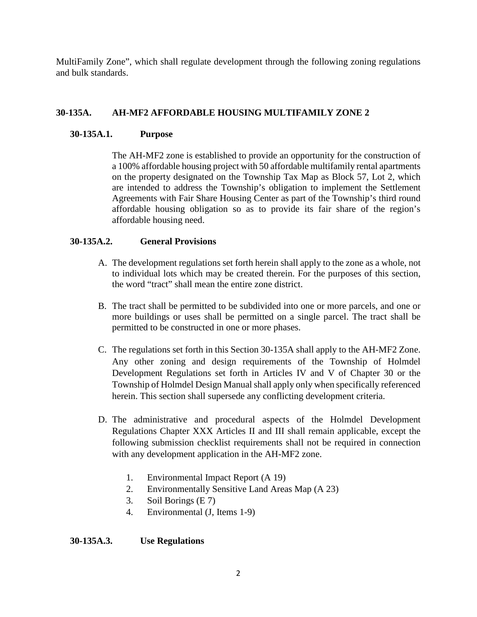MultiFamily Zone", which shall regulate development through the following zoning regulations and bulk standards.

# **30-135A. AH-MF2 AFFORDABLE HOUSING MULTIFAMILY ZONE 2**

### **30-135A.1. Purpose**

The AH-MF2 zone is established to provide an opportunity for the construction of a 100% affordable housing project with 50 affordable multifamily rental apartments on the property designated on the Township Tax Map as Block 57, Lot 2, which are intended to address the Township's obligation to implement the Settlement Agreements with Fair Share Housing Center as part of the Township's third round affordable housing obligation so as to provide its fair share of the region's affordable housing need.

## **30-135A.2. General Provisions**

- A. The development regulations set forth herein shall apply to the zone as a whole, not to individual lots which may be created therein. For the purposes of this section, the word "tract" shall mean the entire zone district.
- B. The tract shall be permitted to be subdivided into one or more parcels, and one or more buildings or uses shall be permitted on a single parcel. The tract shall be permitted to be constructed in one or more phases.
- C. The regulations set forth in this Section 30-135A shall apply to the AH-MF2 Zone. Any other zoning and design requirements of the Township of Holmdel Development Regulations set forth in Articles IV and V of Chapter 30 or the Township of Holmdel Design Manual shall apply only when specifically referenced herein. This section shall supersede any conflicting development criteria.
- D. The administrative and procedural aspects of the Holmdel Development Regulations Chapter XXX Articles II and III shall remain applicable, except the following submission checklist requirements shall not be required in connection with any development application in the AH-MF2 zone.
	- 1. Environmental Impact Report (A 19)
	- 2. Environmentally Sensitive Land Areas Map (A 23)
	- 3. Soil Borings (E 7)
	- 4. Environmental (J, Items 1-9)

### **30-135A.3. Use Regulations**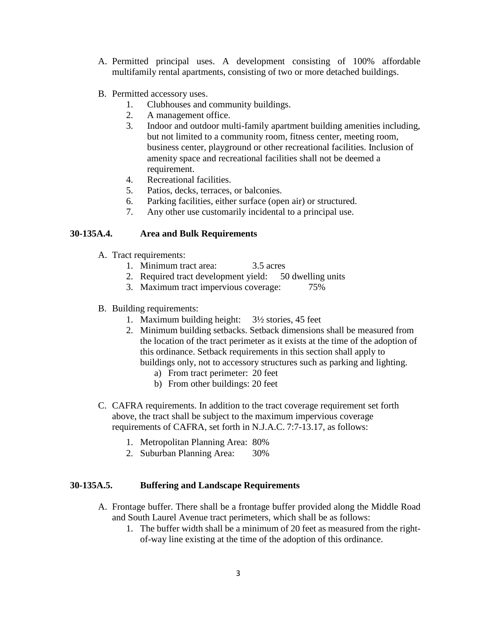- A. Permitted principal uses. A development consisting of 100% affordable multifamily rental apartments, consisting of two or more detached buildings.
- B. Permitted accessory uses.
	- 1. Clubhouses and community buildings.
	- 2. A management office.
	- 3. Indoor and outdoor multi-family apartment building amenities including, but not limited to a community room, fitness center, meeting room, business center, playground or other recreational facilities. Inclusion of amenity space and recreational facilities shall not be deemed a requirement.
	- 4. Recreational facilities.
	- 5. Patios, decks, terraces, or balconies.
	- 6. Parking facilities, either surface (open air) or structured.
	- 7. Any other use customarily incidental to a principal use.

# **30-135A.4. Area and Bulk Requirements**

- A. Tract requirements:
	- 1. Minimum tract area: 3.5 acres
	- 2. Required tract development yield: 50 dwelling units
	- 3. Maximum tract impervious coverage: 75%
- B. Building requirements:
	- 1. Maximum building height: 3½ stories, 45 feet
	- 2. Minimum building setbacks. Setback dimensions shall be measured from the location of the tract perimeter as it exists at the time of the adoption of this ordinance. Setback requirements in this section shall apply to buildings only, not to accessory structures such as parking and lighting.
		- a) From tract perimeter: 20 feet
		- b) From other buildings: 20 feet
- C. CAFRA requirements. In addition to the tract coverage requirement set forth above, the tract shall be subject to the maximum impervious coverage requirements of CAFRA, set forth in N.J.A.C. 7:7-13.17, as follows:
	- 1. Metropolitan Planning Area: 80%
	- 2. Suburban Planning Area: 30%

## **30-135A.5. Buffering and Landscape Requirements**

- A. Frontage buffer. There shall be a frontage buffer provided along the Middle Road and South Laurel Avenue tract perimeters, which shall be as follows:
	- 1. The buffer width shall be a minimum of 20 feet as measured from the rightof-way line existing at the time of the adoption of this ordinance.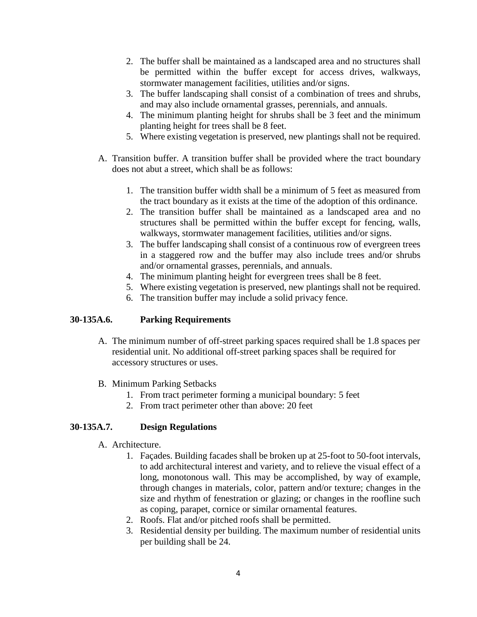- 2. The buffer shall be maintained as a landscaped area and no structures shall be permitted within the buffer except for access drives, walkways, stormwater management facilities, utilities and/or signs.
- 3. The buffer landscaping shall consist of a combination of trees and shrubs, and may also include ornamental grasses, perennials, and annuals.
- 4. The minimum planting height for shrubs shall be 3 feet and the minimum planting height for trees shall be 8 feet.
- 5. Where existing vegetation is preserved, new plantings shall not be required.
- A. Transition buffer. A transition buffer shall be provided where the tract boundary does not abut a street, which shall be as follows:
	- 1. The transition buffer width shall be a minimum of 5 feet as measured from the tract boundary as it exists at the time of the adoption of this ordinance.
	- 2. The transition buffer shall be maintained as a landscaped area and no structures shall be permitted within the buffer except for fencing, walls, walkways, stormwater management facilities, utilities and/or signs.
	- 3. The buffer landscaping shall consist of a continuous row of evergreen trees in a staggered row and the buffer may also include trees and/or shrubs and/or ornamental grasses, perennials, and annuals.
	- 4. The minimum planting height for evergreen trees shall be 8 feet.
	- 5. Where existing vegetation is preserved, new plantings shall not be required.
	- 6. The transition buffer may include a solid privacy fence.

### **30-135A.6. Parking Requirements**

- A. The minimum number of off-street parking spaces required shall be 1.8 spaces per residential unit. No additional off-street parking spaces shall be required for accessory structures or uses.
- B. Minimum Parking Setbacks
	- 1. From tract perimeter forming a municipal boundary: 5 feet
	- 2. From tract perimeter other than above: 20 feet

### **30-135A.7. Design Regulations**

- A. Architecture.
	- 1. Façades. Building facades shall be broken up at 25-foot to 50-foot intervals, to add architectural interest and variety, and to relieve the visual effect of a long, monotonous wall. This may be accomplished, by way of example, through changes in materials, color, pattern and/or texture; changes in the size and rhythm of fenestration or glazing; or changes in the roofline such as coping, parapet, cornice or similar ornamental features.
	- 2. Roofs. Flat and/or pitched roofs shall be permitted.
	- 3. Residential density per building. The maximum number of residential units per building shall be 24.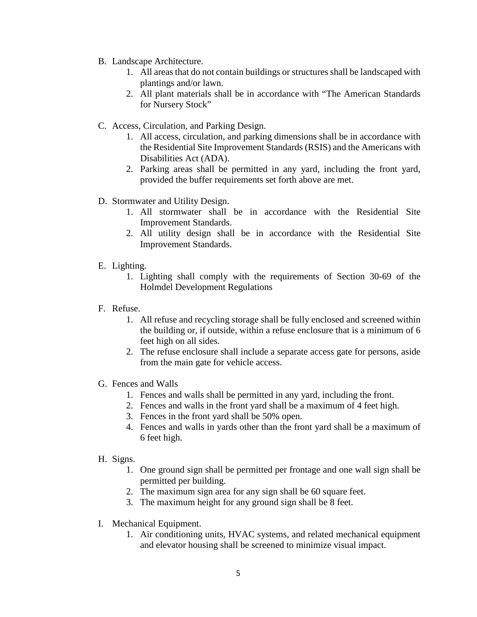- B. Landscape Architecture.
	- 1. All areas that do not contain buildings or structures shall be landscaped with plantings and/or lawn.
	- 2. All plant materials shall be in accordance with "The American Standards for Nursery Stock"
- C. Access, Circulation, and Parking Design.
	- 1. All access, circulation, and parking dimensions shall be in accordance with the Residential Site Improvement Standards (RSIS) and the Americans with Disabilities Act (ADA).
	- 2. Parking areas shall be permitted in any yard, including the front yard, provided the buffer requirements set forth above are met.
- D. Stormwater and Utility Design.
	- 1. All stormwater shall be in accordance with the Residential Site Improvement Standards.
	- 2. All utility design shall be in accordance with the Residential Site Improvement Standards.
- E. Lighting.
	- 1. Lighting shall comply with the requirements of Section 30-69 of the Holmdel Development Regulations
- F. Refuse.
	- 1. All refuse and recycling storage shall be fully enclosed and screened within the building or, if outside, within a refuse enclosure that is a minimum of 6 feet high on all sides.
	- 2. The refuse enclosure shall include a separate access gate for persons, aside from the main gate for vehicle access.
- G. Fences and Walls
	- 1. Fences and walls shall be permitted in any yard, including the front.
	- 2. Fences and walls in the front yard shall be a maximum of 4 feet high.
	- 3. Fences in the front yard shall be 50% open.
	- 4. Fences and walls in yards other than the front yard shall be a maximum of 6 feet high.
- H. Signs.
	- 1. One ground sign shall be permitted per frontage and one wall sign shall be permitted per building.
	- 2. The maximum sign area for any sign shall be 60 square feet.
	- 3. The maximum height for any ground sign shall be 8 feet.
- I. Mechanical Equipment.
	- 1. Air conditioning units, HVAC systems, and related mechanical equipment and elevator housing shall be screened to minimize visual impact.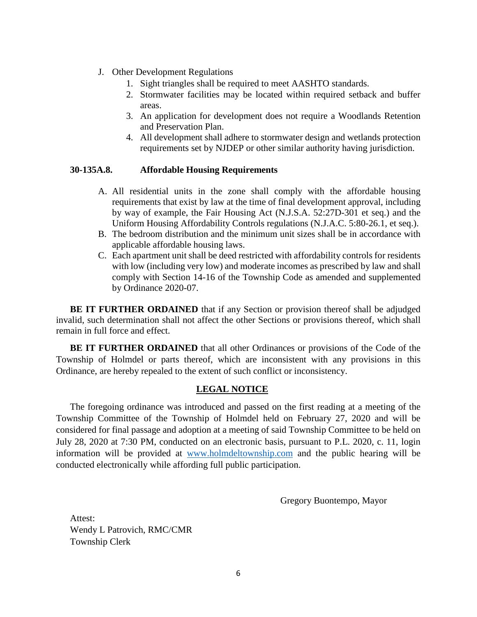- J. Other Development Regulations
	- 1. Sight triangles shall be required to meet AASHTO standards.
	- 2. Stormwater facilities may be located within required setback and buffer areas.
	- 3. An application for development does not require a Woodlands Retention and Preservation Plan.
	- 4. All development shall adhere to stormwater design and wetlands protection requirements set by NJDEP or other similar authority having jurisdiction.

#### **30-135A.8. Affordable Housing Requirements**

- A. All residential units in the zone shall comply with the affordable housing requirements that exist by law at the time of final development approval, including by way of example, the Fair Housing Act (N.J.S.A. 52:27D-301 et seq.) and the Uniform Housing Affordability Controls regulations (N.J.A.C. 5:80-26.1, et seq.).
- B. The bedroom distribution and the minimum unit sizes shall be in accordance with applicable affordable housing laws.
- C. Each apartment unit shall be deed restricted with affordability controls for residents with low (including very low) and moderate incomes as prescribed by law and shall comply with Section 14-16 of the Township Code as amended and supplemented by Ordinance 2020-07.

**BE IT FURTHER ORDAINED** that if any Section or provision thereof shall be adjudged invalid, such determination shall not affect the other Sections or provisions thereof, which shall remain in full force and effect.

**BE IT FURTHER ORDAINED** that all other Ordinances or provisions of the Code of the Township of Holmdel or parts thereof, which are inconsistent with any provisions in this Ordinance, are hereby repealed to the extent of such conflict or inconsistency.

#### **LEGAL NOTICE**

The foregoing ordinance was introduced and passed on the first reading at a meeting of the Township Committee of the Township of Holmdel held on February 27, 2020 and will be considered for final passage and adoption at a meeting of said Township Committee to be held on July 28, 2020 at 7:30 PM, conducted on an electronic basis, pursuant to P.L. 2020, c. 11, login information will be provided at [www.holmdeltownship.com](https://urldefense.proofpoint.com/v2/url?u=http-3A__www.holmdeltownship.com&d=DwMF-g&c=euGZstcaTDllvimEN8b7jXrwqOf-v5A_CdpgnVfiiMM&r=CDHiT3R-sUbr6PZaB2NG6WuKOfQN-Jh-KLsdMNgAj2w&m=vQJytKBQTA5O4_WBK-BO4OJqbxjqdX-rjBA5W36VKZA&s=jFLQ1so_Dz851k-7ObIQIQwGmwXVSDr69jIIXf8kdFc&e=) and the public hearing will be conducted electronically while affording full public participation.

Gregory Buontempo, Mayor

Attest: Wendy L Patrovich, RMC/CMR Township Clerk